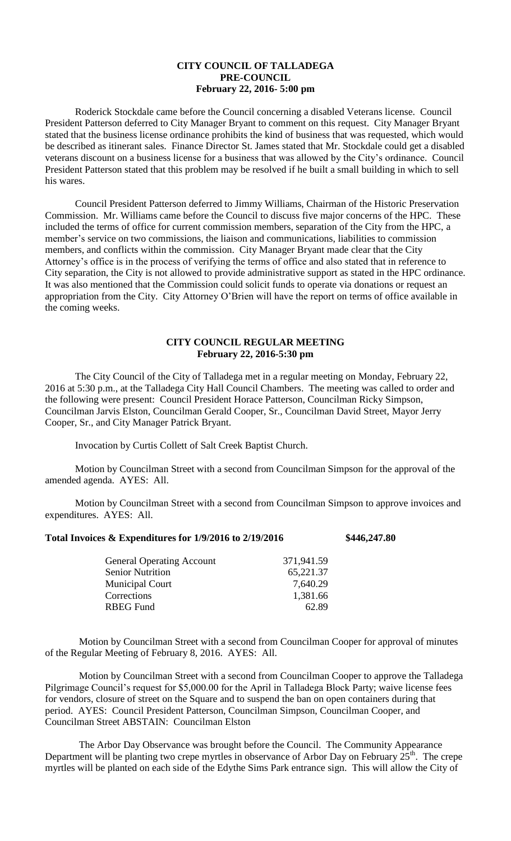## **CITY COUNCIL OF TALLADEGA PRE-COUNCIL February 22, 2016- 5:00 pm**

Roderick Stockdale came before the Council concerning a disabled Veterans license. Council President Patterson deferred to City Manager Bryant to comment on this request. City Manager Bryant stated that the business license ordinance prohibits the kind of business that was requested, which would be described as itinerant sales. Finance Director St. James stated that Mr. Stockdale could get a disabled veterans discount on a business license for a business that was allowed by the City's ordinance. Council President Patterson stated that this problem may be resolved if he built a small building in which to sell his wares.

Council President Patterson deferred to Jimmy Williams, Chairman of the Historic Preservation Commission. Mr. Williams came before the Council to discuss five major concerns of the HPC. These included the terms of office for current commission members, separation of the City from the HPC, a member's service on two commissions, the liaison and communications, liabilities to commission members, and conflicts within the commission. City Manager Bryant made clear that the City Attorney's office is in the process of verifying the terms of office and also stated that in reference to City separation, the City is not allowed to provide administrative support as stated in the HPC ordinance. It was also mentioned that the Commission could solicit funds to operate via donations or request an appropriation from the City. City Attorney O'Brien will have the report on terms of office available in the coming weeks.

## **CITY COUNCIL REGULAR MEETING February 22, 2016-5:30 pm**

The City Council of the City of Talladega met in a regular meeting on Monday, February 22, 2016 at 5:30 p.m., at the Talladega City Hall Council Chambers. The meeting was called to order and the following were present: Council President Horace Patterson, Councilman Ricky Simpson, Councilman Jarvis Elston, Councilman Gerald Cooper, Sr., Councilman David Street, Mayor Jerry Cooper, Sr., and City Manager Patrick Bryant.

Invocation by Curtis Collett of Salt Creek Baptist Church.

Motion by Councilman Street with a second from Councilman Simpson for the approval of the amended agenda. AYES: All.

Motion by Councilman Street with a second from Councilman Simpson to approve invoices and expenditures. AYES: All.

## **Total Invoices & Expenditures for 1/9/2016 to 2/19/2016 \$446,247.80**

| <b>General Operating Account</b> | 371,941.59 |
|----------------------------------|------------|
| <b>Senior Nutrition</b>          | 65,221.37  |
| <b>Municipal Court</b>           | 7,640.29   |
| Corrections                      | 1,381.66   |
| RBEG Fund                        | 62.89      |

Motion by Councilman Street with a second from Councilman Cooper for approval of minutes of the Regular Meeting of February 8, 2016. AYES: All.

Motion by Councilman Street with a second from Councilman Cooper to approve the Talladega Pilgrimage Council's request for \$5,000.00 for the April in Talladega Block Party; waive license fees for vendors, closure of street on the Square and to suspend the ban on open containers during that period. AYES: Council President Patterson, Councilman Simpson, Councilman Cooper, and Councilman Street ABSTAIN: Councilman Elston

The Arbor Day Observance was brought before the Council. The Community Appearance Department will be planting two crepe myrtles in observance of Arbor Day on February  $25<sup>th</sup>$ . The crepe myrtles will be planted on each side of the Edythe Sims Park entrance sign. This will allow the City of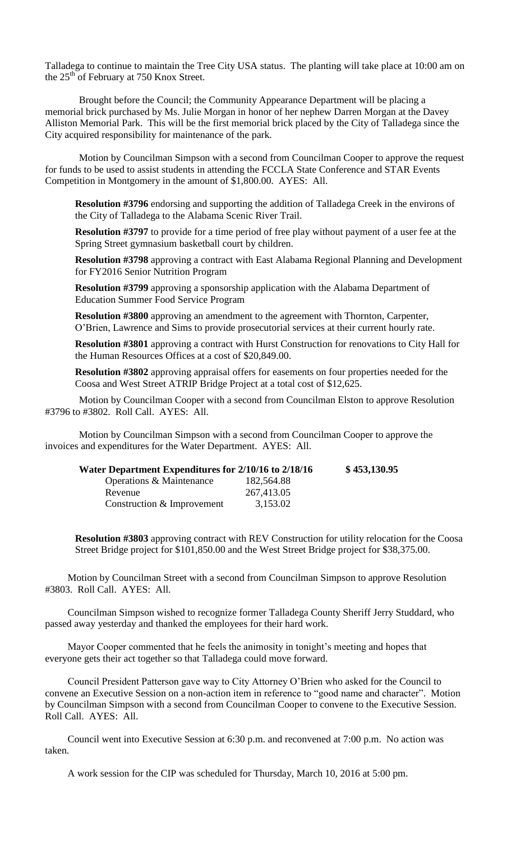Talladega to continue to maintain the Tree City USA status. The planting will take place at 10:00 am on the 25<sup>th</sup> of February at 750 Knox Street.

Brought before the Council; the Community Appearance Department will be placing a memorial brick purchased by Ms. Julie Morgan in honor of her nephew Darren Morgan at the Davey Alliston Memorial Park. This will be the first memorial brick placed by the City of Talladega since the City acquired responsibility for maintenance of the park.

Motion by Councilman Simpson with a second from Councilman Cooper to approve the request for funds to be used to assist students in attending the FCCLA State Conference and STAR Events Competition in Montgomery in the amount of \$1,800.00. AYES: All.

**Resolution #3796** endorsing and supporting the addition of Talladega Creek in the environs of the City of Talladega to the Alabama Scenic River Trail.

**Resolution #3797** to provide for a time period of free play without payment of a user fee at the Spring Street gymnasium basketball court by children.

**Resolution #3798** approving a contract with East Alabama Regional Planning and Development for FY2016 Senior Nutrition Program

**Resolution #3799** approving a sponsorship application with the Alabama Department of Education Summer Food Service Program

**Resolution #3800** approving an amendment to the agreement with Thornton, Carpenter, O'Brien, Lawrence and Sims to provide prosecutorial services at their current hourly rate.

**Resolution #3801** approving a contract with Hurst Construction for renovations to City Hall for the Human Resources Offices at a cost of \$20,849.00.

**Resolution #3802** approving appraisal offers for easements on four properties needed for the Coosa and West Street ATRIP Bridge Project at a total cost of \$12,625.

Motion by Councilman Cooper with a second from Councilman Elston to approve Resolution #3796 to #3802. Roll Call. AYES: All.

Motion by Councilman Simpson with a second from Councilman Cooper to approve the invoices and expenditures for the Water Department. AYES: All.

| Water Department Expenditures for 2/10/16 to 2/18/16 | \$453,130.95 |
|------------------------------------------------------|--------------|
| 182,564.88                                           |              |
| 267,413.05                                           |              |
| 3,153.02                                             |              |
|                                                      |              |

**Resolution #3803** approving contract with REV Construction for utility relocation for the Coosa Street Bridge project for \$101,850.00 and the West Street Bridge project for \$38,375.00.

Motion by Councilman Street with a second from Councilman Simpson to approve Resolution #3803. Roll Call. AYES: All.

Councilman Simpson wished to recognize former Talladega County Sheriff Jerry Studdard, who passed away yesterday and thanked the employees for their hard work.

Mayor Cooper commented that he feels the animosity in tonight's meeting and hopes that everyone gets their act together so that Talladega could move forward.

Council President Patterson gave way to City Attorney O'Brien who asked for the Council to convene an Executive Session on a non-action item in reference to "good name and character". Motion by Councilman Simpson with a second from Councilman Cooper to convene to the Executive Session. Roll Call. AYES: All.

Council went into Executive Session at 6:30 p.m. and reconvened at 7:00 p.m. No action was taken.

A work session for the CIP was scheduled for Thursday, March 10, 2016 at 5:00 pm.